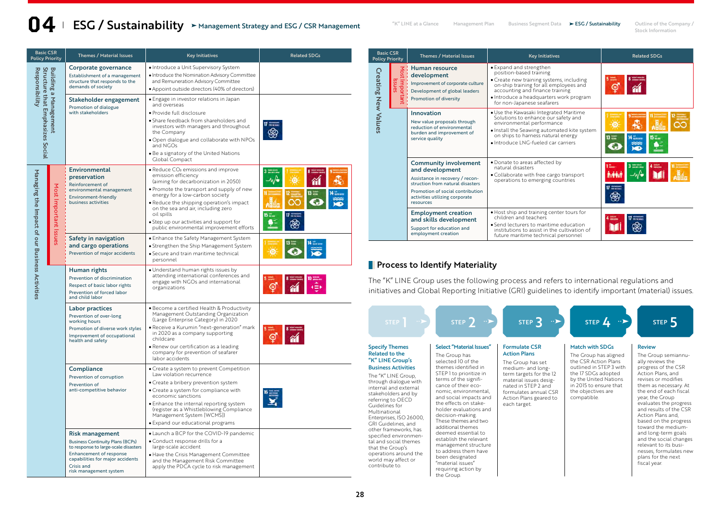# **1** ESG / Sustainability  $\triangleright$  Management Strategy and ESG / CSR Management **Management Plan Business Segment Data ESG** / Sustainability Outline of the Company / Stock Information Management Strategy and ESG / CSR Management

Stock Information

| <b>Basic CSR</b><br><b>Policy Priority</b>                                            |                       | <b>Themes / Material Issues</b>                                                                                                                                                                                  | <b>Key Initiatives</b>                                                                                                                                                                                                                                                                                                                                                                | <b>Related SDGs</b> |
|---------------------------------------------------------------------------------------|-----------------------|------------------------------------------------------------------------------------------------------------------------------------------------------------------------------------------------------------------|---------------------------------------------------------------------------------------------------------------------------------------------------------------------------------------------------------------------------------------------------------------------------------------------------------------------------------------------------------------------------------------|---------------------|
| Structure that Emphasizes Social<br><b>Building</b><br>Responsibility<br>a Management |                       | Corporate governance<br>Establishment of a management<br>structure that responds to the<br>demands of society                                                                                                    | · Introduce a Unit Supervisory System<br>· Introduce the Nomination Advisory Committee<br>and Remuneration Advisory Committee<br>• Appoint outside directors (40% of directors)                                                                                                                                                                                                       |                     |
|                                                                                       |                       | Stakeholder engagement<br>Promotion of dialogue<br>with stakeholders                                                                                                                                             | · Engage in investor relations in Japan<br>and overseas<br>· Provide full disclosure<br>· Share feedback from shareholders and<br>investors with managers and throughout<br>the Company<br>. Open dialogue and collaborate with NPOs<br>and NGOs<br>. Be a signatory of the United Nations<br>Global Compact                                                                          |                     |
| Managing the Impact of our Business Activities                                        | Most Important Issues | Environmental<br>preservation<br>Reinforcement of<br>environmental management<br>Environment-friendly<br>business activities                                                                                     | • Reduce CO <sub>2</sub> emissions and improve<br>emission efficiency<br>(aiming for decarbonization in 2050)<br>. Promote the transport and supply of new<br>energy for a low-carbon society<br>• Reduce the shipping operation's impact<br>on the sea and air, including zero<br>oil spills<br>• Step up our activities and support for<br>public environmental improvement efforts |                     |
|                                                                                       |                       | Safety in navigation<br>and cargo operations<br>Prevention of major accidents                                                                                                                                    | • Enhance the Safety Management System<br>• Strengthen the Ship Management System<br>· Secure and train maritime technical<br>personnel                                                                                                                                                                                                                                               |                     |
|                                                                                       |                       | Human rights<br>Prevention of discrimination<br>Respect of basic labor rights<br>Prevention of forced labor<br>and child labor                                                                                   | • Understand human rights issues by<br>attending international conferences and<br>engage with NGOs and international<br>organizations                                                                                                                                                                                                                                                 |                     |
|                                                                                       |                       | Labor practices<br>Prevention of over-long<br>working hours<br>Promotion of diverse work styles<br>Improvement of occupational<br>health and safety                                                              | · Become a certified Health & Productivity<br>Management Outstanding Organization<br>(Large Enterprise Category) in 2020<br>· Receive a Kurumin "next-generation" mark<br>in 2020 as a company supporting<br>childcare<br>• Renew our certification as a leading<br>company for prevention of seafarer<br>labor accidents                                                             |                     |
|                                                                                       |                       | Compliance<br>Prevention of corruption<br>Prevention of<br>anti-competitive behavior                                                                                                                             | • Create a system to prevent Competition<br>Law violation recurrence<br>• Create a bribery prevention system<br>• Create a system for compliance with<br>economic sanctions<br>· Enhance the internal reporting system<br>(register as a Whistleblowing Compliance<br>Management System [WCMS])<br>· Expand our educational programs                                                  |                     |
|                                                                                       |                       | <b>Risk management</b><br><b>Business Continuity Plans (BCPs)</b><br>to response to large-scale disasters<br>Enhancement of response<br>capabilities for major accidents<br>Crisis and<br>risk management system | • Launch a BCP for the COVID-19 pandemic<br>• Conduct response drills for a<br>large-scale accident<br>• Have the Crisis Management Committee<br>and the Management Risk Committee<br>apply the PDCA cycle to risk management                                                                                                                                                         |                     |

| <b>Basic CSR</b><br><b>Policy Priority</b> |                          | <b>Themes / Material Issues</b>                                                                                                                                                                    | <b>Key Initiatives</b>                                                                                                                                                                                                                               | <b>Related SDGs</b>                 |  |  |
|--------------------------------------------|--------------------------|----------------------------------------------------------------------------------------------------------------------------------------------------------------------------------------------------|------------------------------------------------------------------------------------------------------------------------------------------------------------------------------------------------------------------------------------------------------|-------------------------------------|--|--|
| <b>Creating New Values</b>                 | Most Important<br>Issues | Human resource<br>development<br>Improvement of corporate culture<br>Development of global leaders<br>Promotion of diversity                                                                       | • Expand and strengthen<br>position-based training<br>• Create new training systems, including<br>on-ship training for all employees and<br>accounting and finance training<br>· Introduce a headquarters work program<br>for non-Japanese seafarers | $5 =$<br>⊜                          |  |  |
|                                            |                          | Innovation<br>New value proposals through<br>reduction of environmental<br>burden and improvement of<br>service quality                                                                            | . Use the Kawasaki Integrated Maritime<br>Solutions to enhance our safety and<br>environmental performance<br>· Install the Seawing automated kite system<br>on ships to harness natural energy<br>· Introduce I NG-fueled car carriers              | $13 =$                              |  |  |
|                                            |                          | Community involvement<br>and development<br>Assistance in recovery / recon-<br>struction from natural disasters<br>Promotion of social contribution<br>activities utilizing corporate<br>resources | · Donate to areas affected by<br>natural disasters<br>• Collaborate with free cargo transport<br>operations to emerging countries                                                                                                                    | 3 <sup>mm</sup><br>$17 \frac{m}{m}$ |  |  |
|                                            |                          | <b>Employment creation</b><br>and skills development<br>Support for education and<br>employment creation                                                                                           | . Host ship and training center tours for<br>children and teachers<br>• Send lecturers to maritime education<br>institutions to assist in the cultivation of<br>future maritime technical personnel                                                  | $\frac{1}{2}$ must be pass of       |  |  |

# **Process to Identify Materiality**

Basic C<br>Policy Pri

The "K" LINE Group uses the following process and refers to international regulations and initiatives and Global Reporting Initiative (GRI) guidelines to identify important (material) issues.

| STEP                                                                                                                                                                                                                                                                                                                                                                                                                                                                       | STEP $2 \rightarrow$                                                                                                                                                                                                                                                                                                                                                                                                                                                                                                    | STEP <sup>3</sup>                                                                                                                                                                                                                    | STEP $4 \rightarrow$                                                                                                                                                                                              | STEP <sub>5</sub>                                                                                                                                                                                                                                                                                                                                                                                                                                                   |
|----------------------------------------------------------------------------------------------------------------------------------------------------------------------------------------------------------------------------------------------------------------------------------------------------------------------------------------------------------------------------------------------------------------------------------------------------------------------------|-------------------------------------------------------------------------------------------------------------------------------------------------------------------------------------------------------------------------------------------------------------------------------------------------------------------------------------------------------------------------------------------------------------------------------------------------------------------------------------------------------------------------|--------------------------------------------------------------------------------------------------------------------------------------------------------------------------------------------------------------------------------------|-------------------------------------------------------------------------------------------------------------------------------------------------------------------------------------------------------------------|---------------------------------------------------------------------------------------------------------------------------------------------------------------------------------------------------------------------------------------------------------------------------------------------------------------------------------------------------------------------------------------------------------------------------------------------------------------------|
| <b>Specify Themes</b><br><b>Related to the</b><br>"K" LINE Group's<br><b>Business Activities</b><br>The "K" LINE Group,<br>through dialogue with<br>internal and external<br>stakeholders and by<br>referring to OECD<br>Guidelines for<br>Multinational<br>Enterprises, ISO 26000,<br>GRI Guidelines, and<br>other frameworks, has<br>specified environmen-<br>tal and social themes<br>that the Group's<br>operations around the<br>world may affect or<br>contribute to | Select "Material Issues"<br>The Group has<br>selected 10 of the<br>themes identified in<br>STEP I to prioritize in<br>terms of the signifi-<br>cance of their eco-<br>nomic, environmental,<br>and social impacts and<br>the effects on stake-<br>holder evaluations and<br>decision-making.<br>These themes and two<br>additional themes<br>deemed essential to<br>establish the relevant<br>management structure<br>to address them have<br>been designated<br>"material issues"<br>requiring action by<br>the Group. | <b>Formulate CSR</b><br><b>Action Plans</b><br>The Group has set<br>medium- and long-<br>term targets for the 12<br>material issues desig-<br>nated in STEP 2 and<br>formulates annual CSR<br>Action Plans geared to<br>each target. | <b>Match with SDGs</b><br>The Group has aligned<br>the CSR Action Plans<br>outlined in STEP 3 with<br>the 17 SDGs adopted<br>by the United Nations<br>in 2015 to ensure that<br>the objectives are<br>compatible. | <b>Review</b><br>The Group semiannu-<br>ally reviews the<br>progress of the CSR<br>Action Plans, and<br>revises or modifies<br>them as necessary. At<br>the end of each fiscal<br>year, the Group<br>evaluates the progress<br>and results of the CSR<br>Action Plans and.<br>based on the progress<br>toward the medium-<br>and long-term goals<br>and the social changes<br>relevant to its busi-<br>nesses, formulates new<br>plans for the next<br>fiscal year. |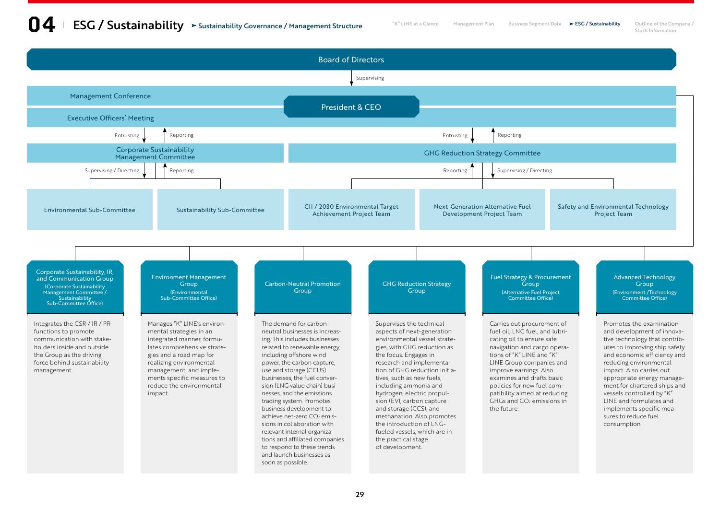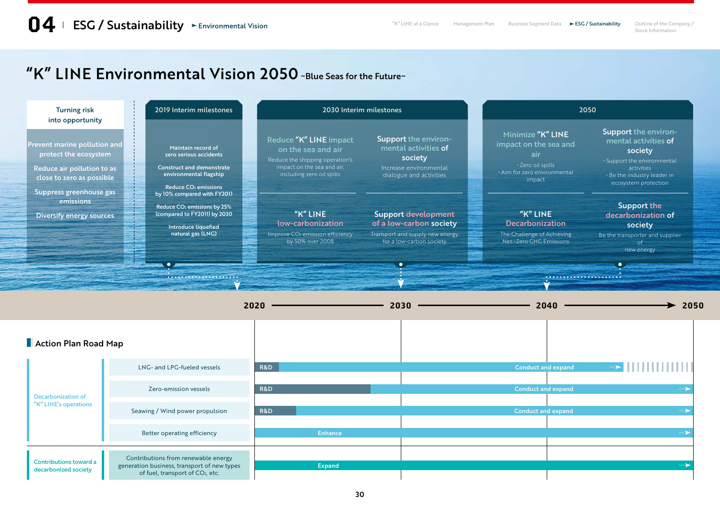Stock Information

# "K" LINE Environmental Vision 2050 ~Blue Seas for the Future~

| <b>Turning risk</b><br>into opportunity                                                                          | 2019 Interim milestones                                                                                                                            | 2030 Interim milestones                                                                                                                    |                                                                                                                      |  | 2050                                                                                                             |                                                                                                                                                             |  |
|------------------------------------------------------------------------------------------------------------------|----------------------------------------------------------------------------------------------------------------------------------------------------|--------------------------------------------------------------------------------------------------------------------------------------------|----------------------------------------------------------------------------------------------------------------------|--|------------------------------------------------------------------------------------------------------------------|-------------------------------------------------------------------------------------------------------------------------------------------------------------|--|
| Prevent marine pollution and<br>protect the ecosystem<br>Reduce air pollution to as<br>close to zero as possible | Maintain record of<br>zero serious accidents<br><b>Construct and demonstrate</b><br>environmental flagship<br>Reduce CO <sub>2</sub> emissions     | Reduce "K" LINE impact<br>on the sea and air<br>Reduce the shipping operation's<br>impact on the sea and air,<br>including zero oil spills | Support the environ-<br>mental activities of<br>society<br>Increase environmental<br>dialogue and activities         |  | Minimize "K" LINE<br>impact on the sea and<br>air<br>· Zero oil spills<br>· Aim for zero environmental<br>impact | Support the environ-<br>mental activities of<br>society<br>. Support the environmental<br>activities<br>· Be the industry leader in<br>ecosystem protection |  |
| Suppress greenhouse gas<br>emissions<br>Diversify energy sources                                                 | by 10% compared with FY2011<br>Reduce CO <sub>2</sub> emissions by 25%<br>(compared to FY2011) by 2030<br>Introduce liquefied<br>natural gas (LNG) | $"K"$ LINE<br>low-carbonization<br>Improve CO <sub>2</sub> emission efficiency<br>by 50% over 2008                                         | <b>Support development</b><br>of a low-carbon society<br>Transport and supply new energy<br>for a low-carbon society |  | "K" LINE<br><b>Decarbonization</b><br>The Challenge of Achieving<br>Net -Zero GHG Emissions                      | <b>Support the</b><br>decarbonization of<br>society<br>Be the transporter and supplier<br>new energy<br>$\bullet$                                           |  |
|                                                                                                                  |                                                                                                                                                    |                                                                                                                                            |                                                                                                                      |  |                                                                                                                  |                                                                                                                                                             |  |

|                                                       |                                                                                                                                    | 2020           |         | 2040<br>2030              | 2050     |
|-------------------------------------------------------|------------------------------------------------------------------------------------------------------------------------------------|----------------|---------|---------------------------|----------|
| Action Plan Road Map                                  |                                                                                                                                    |                |         |                           |          |
|                                                       | LNG- and LPG-fueled vessels                                                                                                        | <b>R&amp;D</b> |         | <b>Conduct and expand</b> | $\cdots$ |
| <b>Decarbonization of</b>                             | Zero-emission vessels                                                                                                              | <b>R&amp;D</b> |         | <b>Conduct and expand</b> | $\cdots$ |
| "K" LINE's operations                                 | Seawing / Wind power propulsion                                                                                                    | <b>R&amp;D</b> |         | <b>Conduct and expand</b> | $\cdots$ |
|                                                       | Better operating efficiency                                                                                                        |                | Enhance |                           | $\cdots$ |
|                                                       |                                                                                                                                    |                |         |                           |          |
| <b>Contributions toward a</b><br>decarbonized society | Contributions from renewable energy<br>generation business, transport of new types<br>of fuel, transport of CO <sub>2</sub> , etc. |                | Expand  |                           | $\cdots$ |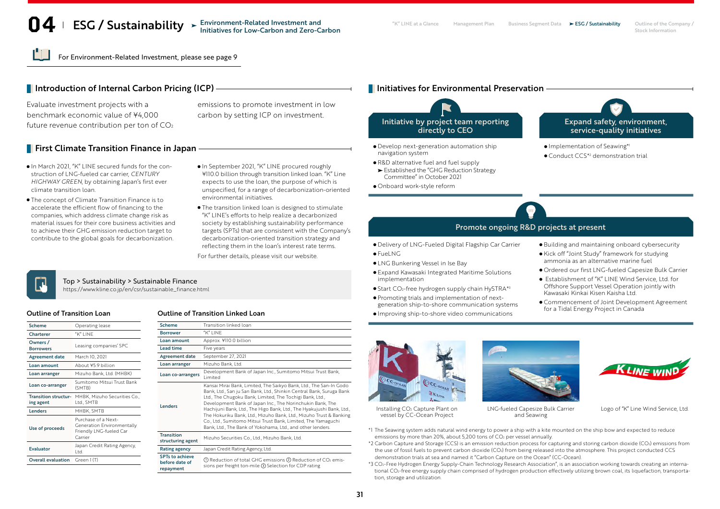# **O4** ESG / Sustainability > Environment-Related Investment and **Management Plan Business Segment Data** > ESG / Sustainability Outline of the Company /<br>Stock Information

For Environment-Related Investment, please see page 9

# Introduction of Internal Carbon Pricing (ICP)

Evaluate investment projects with a benchmark economic value of ¥4,000 future revenue contribution per ton of CO2

# **First Climate Transition Finance in Japan**

- $\bullet$  In March 2021, "K" LINE secured funds for the construction of LNG-fueled car carrier, *CENTURY HIGHWAY GREEN*, by obtaining Japan's first ever climate transition loan.
- The concept of Climate Transition Finance is to accelerate the efficient flow of financing to the companies, which address climate change risk as material issues for their core business activities and to achieve their GHG emission reduction target to contribute to the global goals for decarbonization.
- In September 2021, "K" LINE procured roughly ¥110.0 billion through transition linked loan. "K" Line

emissions to promote investment in low carbon by setting ICP on investment.

- expects to use the loan, the purpose of which is unspecified, for a range of decarbonization-oriented environmental initiatives.
- The transition linked loan is designed to stimulate "K" LINE's efforts to help realize a decarbonized society by establishing sustainability performance targets (SPTs) that are consistent with the Company's decarbonization-oriented transition strategy and reflecting them in the loan's interest rate terms.

For further details, please visit our website.

# പ

## Top > Sustainability > Sustainable Finance

https://www.kline.co.jp/en/csr/sustainable\_finance.html

| <b>Scheme</b>                            | Operating lease                                                                         |
|------------------------------------------|-----------------------------------------------------------------------------------------|
| Charterer                                | "K" LINE                                                                                |
| Owners /<br><b>Borrowers</b>             | Leasing companies' SPC                                                                  |
| <b>Agreement date</b>                    | March 10, 2021                                                                          |
| Loan amount                              | About ¥59 billion                                                                       |
| Loan arranger                            | Mizuho Bank, Ltd. (MHBK)                                                                |
| Loan co-arranger                         | Sumitomo Mitsui Trust Bank<br>(SMTB)                                                    |
| <b>Transition structur-</b><br>ing agent | MHBK, Mizuho Securities Co.,<br>Ltd., SMTB                                              |
| Lenders                                  | MHBK, SMTB                                                                              |
| Use of proceeds                          | Purchase of a Next-<br>Generation Environmentally<br>Friendly LNG-fueled Car<br>Carrier |
| Evaluator                                | Japan Credit Rating Agency,<br>l td                                                     |
| <b>Overall evaluation</b>                | Green 1 (T)                                                                             |

## Outline of Transition Loan Outline of Transition Linked Loan

| Scheme                                                | Transition linked loan                                                                                                                                                                                                                                                                                                                                                                                                                                                                                                                            |
|-------------------------------------------------------|---------------------------------------------------------------------------------------------------------------------------------------------------------------------------------------------------------------------------------------------------------------------------------------------------------------------------------------------------------------------------------------------------------------------------------------------------------------------------------------------------------------------------------------------------|
| <b>Borrower</b>                                       | "K" I INF                                                                                                                                                                                                                                                                                                                                                                                                                                                                                                                                         |
| Loan amount                                           | Approx. ¥110.0 billion                                                                                                                                                                                                                                                                                                                                                                                                                                                                                                                            |
| <b>Lead time</b>                                      | Five years                                                                                                                                                                                                                                                                                                                                                                                                                                                                                                                                        |
| <b>Agreement date</b>                                 | September 27, 2021                                                                                                                                                                                                                                                                                                                                                                                                                                                                                                                                |
| Loan arranger                                         | Mizuho Bank, Ltd.                                                                                                                                                                                                                                                                                                                                                                                                                                                                                                                                 |
| Loan co-arrangers                                     | Development Bank of Japan Inc., Sumitomo Mitsui Trust Bank,<br>Limited                                                                                                                                                                                                                                                                                                                                                                                                                                                                            |
| Lenders                                               | Kansai Mirai Bank, Limited, The Saikyo Bank, Ltd., The San-In Godo<br>Bank, Ltd., San ju San Bank, Ltd., Shinkin Central Bank, Suruga Bank<br>Ltd., The Chugoku Bank, Limited, The Tochigi Bank, Ltd.,<br>Development Bank of Japan Inc., The Norinchukin Bank, The<br>Hachijuni Bank, Ltd., The Higo Bank, Ltd., The Hyakujushi Bank, Ltd.,<br>The Hokuriku Bank, Ltd., Mizuho Bank, Ltd., Mizuho Trust & Banking<br>Co., Ltd., Sumitomo Mitsui Trust Bank, Limited, The Yamaguchi<br>Bank, Ltd., The Bank of Yokohama, Ltd., and other lenders. |
| <b>Transition</b><br>structuring agent                | Mizuho Securities Co., Ltd., Mizuho Bank, Ltd.                                                                                                                                                                                                                                                                                                                                                                                                                                                                                                    |
| <b>Rating agency</b>                                  | Japan Credit Rating Agency, Ltd.                                                                                                                                                                                                                                                                                                                                                                                                                                                                                                                  |
| <b>SPTs to achieve</b><br>before date of<br>repayment | 1. (1) Reduction of total GHG emissions (2) Reduction of CO <sub>2</sub> emis-<br>sions per freight ton-mile 3 Selection for CDP rating                                                                                                                                                                                                                                                                                                                                                                                                           |

## **I** Initiatives for Environmental Preservation



- Develop next-generation automation ship navigation system
- R&D alternative fuel and fuel supply Established the "GHG Reduction Strategy
- Committee" in October 2021
- Onboard work-style reform



- **Implementation of Seawing\*1**
- Conduct CCS\*2 demonstration trial

## Promote ongoing R&D projects at present

Delivery of LNG-Fueled Digital Flagship Car Carrier

- $\bullet$ FueLNG
- LNG Bunkering Vessel in Ise Bay
- Expand Kawasaki Integrated Maritime Solutions implementation
- Start CO<sub>2</sub>-free hydrogen supply chain HySTRA\*3
- Promoting trials and implementation of nextgeneration ship-to-shore communication systems
- Improving ship-to-shore video communications
- Building and maintaining onboard cybersecurity
- Kick off "Joint Study" framework for studying ammonia as an alternative marine fuel
- Ordered our first LNG-fueled Capesize Bulk Carrier
- Establishment of "K" LINE Wind Service, Ltd. for Offshore Support Vessel Operation jointly with Kawasaki Kinkai Kisen Kaisha Ltd.
- Commencement of Joint Development Agreement for a Tidal Energy Project in Canada



Installing CO2 Capture Plant on vessel by CC-Ocean Project





LNG-fueled Capesize Bulk Carrier and Seawing

Logo of "K" Line Wind Service, Ltd.

- \*1 The Seawing system adds natural wind energy to power a ship with a kite mounted on the ship bow and expected to reduce emissions by more than 20%, about 5,200 tons of  $CO<sub>2</sub>$  per vessel annually.
- \*2 Carbon Capture and Storage (CCS) is an emission reduction process for capturing and storing carbon dioxide (CO2) emissions from the use of fossil fuels to prevent carbon dioxide (CO<sub>2</sub>) from being released into the atmosphere. This project conducted CCS demonstration trials at sea and named it "Carbon Capture on the Ocean" (CC-Ocean).
- \*3 CO2-Free Hydrogen Energy Supply-Chain Technology Research Association", is an association working towards creating an international CO<sub>2</sub>-free energy supply chain comprised of hydrogen production effectively utilizing brown coal, its liquefaction, transportation, storage and utilization.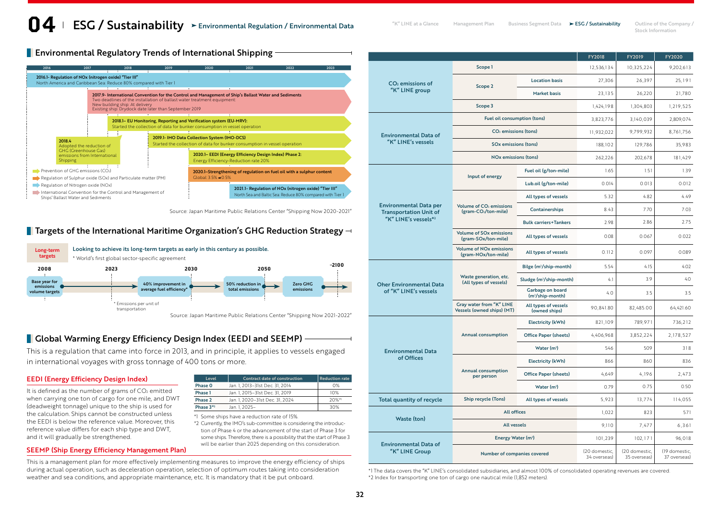Stock Information

**Environmental Regulatory Trends of International Shipping** 



Source: Japan Maritime Public Relations Center "Shipping Now 2020-2021"

# **Targets of the International Maritime Organization's GHG Reduction Strategy**  $\neg$



Source: Japan Maritime Public Relations Center "Shipping Now 2021-2022"

# **Global Warming Energy Efficiency Design Index (EEDI and SEEMP)**

This is a regulation that came into force in 2013, and in principle, it applies to vessels engaged in international voyages with gross tonnage of 400 tons or more.

## EEDI (Energy Efficiency Design Index)

It is defined as the number of grams of  $CO<sub>2</sub>$  emitted when carrying one ton of cargo for one mile, and DWT (deadweight tonnage) unique to the ship is used for the calculation. Ships cannot be constructed unless the EEDI is below the reference value. Moreover, this reference value differs for each ship type and DWT, and it will gradually be strengthened.

| Level       | <b>Contract date of construction</b> | l Reduction rate |
|-------------|--------------------------------------|------------------|
| Phase 0     | Jan. 1, 2013-31st Dec. 31, 2014      | 0%               |
| Phase 1     | Jan. 1. 2015-31st Dec. 31, 2019      | 10%              |
| Phase 2     | Jan. 1. 2020-31st Dec. 31. 2024      | $20%$ *1         |
| Phase $3*2$ | Jan. 1. 2025-                        | 30%              |

\*1 Some ships have a reduction rate of 15%.

\*2 Currently, the IMO's sub-committee is considering the introduction of Phase 4 or the advancement of the start of Phase 3 for some ships. Therefore, there is a possibility that the start of Phase 3 will be earlier than 2025 depending on this consideration.

## SEEMP (Ship Energy Efficiency Management Plan)

This is a management plan for more effectively implementing measures to improve the energy efficiency of ships during actual operation, such as deceleration operation, selection of optimum routes taking into consideration weather and sea conditions, and appropriate maintenance, etc. It is mandatory that it be put onboard.

|                                                                |                                                                         |                                                  | FY2018                        | FY2019                        | FY2020    |
|----------------------------------------------------------------|-------------------------------------------------------------------------|--------------------------------------------------|-------------------------------|-------------------------------|-----------|
|                                                                | Scope 1                                                                 |                                                  | 12,536,134                    | 10,325,224                    | 9,202,613 |
| $CO2$ emissions of                                             | Scope 2                                                                 | <b>Location basis</b>                            | 27,306                        | 26,397                        | 25, 191   |
| "K" LINE group                                                 |                                                                         | <b>Market basis</b>                              | 23,135                        | 26,220                        | 21,780    |
|                                                                | Scope 3                                                                 |                                                  | 1,424,198                     | 1,304,803                     | 1,219,525 |
|                                                                | <b>Fuel oil consumption (tons)</b>                                      |                                                  | 3,823,776                     | 3,140,039                     | 2,809,074 |
| <b>Environmental Data of</b>                                   | CO <sub>2</sub> emissions (tons)                                        |                                                  | 11,932,022                    | 9,799,932                     | 8,761,756 |
| "K" LINE's vessels                                             | SOx emissions (tons)                                                    |                                                  | 188,102                       | 129,786                       | 35,983    |
|                                                                | <b>NO<sub>x</sub></b> emissions (tons)                                  |                                                  | 262,226                       | 202,678                       | 181,429   |
|                                                                | Input of energy                                                         | Fuel oil (g/ton-mile)                            | 1.65                          | 1.51                          | 1.39      |
|                                                                |                                                                         | Lub.oil (g/ton-mile)                             | 0.014                         | 0.013                         | 0.012     |
|                                                                |                                                                         | All types of vessels                             | 5.32                          | 4.82                          | 4.49      |
| <b>Environmental Data per</b><br><b>Transportation Unit of</b> | Volume of CO <sub>2</sub> emissions<br>(gram-CO <sub>2</sub> /ton-mile) | Containerships                                   | 8.43                          | 7.70                          | 7.03      |
| "K" LINE's vessels*2                                           |                                                                         | <b>Bulk carriers+Tankers</b>                     | 2.98                          | 2.86                          | 2.75      |
|                                                                | <b>Volume of SOx emissions</b><br>(gram-SOx/ton-mile)                   | All types of vessels                             | 0.08                          | 0.067                         | 0.022     |
|                                                                | <b>Volume of NO<sub>x</sub></b> emissions<br>(gram-NOx/ton-mile)        | All types of vessels                             | 0.112                         | 0.097                         | 0.089     |
|                                                                |                                                                         | Bilge (m <sup>3</sup> /ship-month)               | 5.54                          | 4.15                          | 4.02      |
| <b>Oher Environmental Data</b>                                 | Waste generation, etc.<br>(All types of vessels)                        | Sludge (m <sup>3</sup> /ship-month)              | 4.1                           | 3.9                           | 4.0       |
| of "K" LINE's vessels                                          |                                                                         | Garbage on board<br>(m <sup>3</sup> /ship-month) | 4.0                           | 3.5                           | 3.5       |
|                                                                | Gray water from "K" LINE<br>Vessels (owned ships) (MT)                  | All types of vessels<br>(owned ships)            | 90,841.80                     | 82,485.00                     | 64,421.60 |
|                                                                |                                                                         | <b>Electricity (kWh)</b>                         | 821,109                       | 789,971                       | 736,212   |
|                                                                | Annual consumption                                                      | <b>Office Paper (sheets)</b>                     | 4,406,968                     | 3,852,224                     | 2,178,527 |
| <b>Environmental Data</b>                                      |                                                                         | Water (m <sup>3</sup> )                          | 546                           | 509                           | 318       |
| of Offices                                                     |                                                                         | <b>Electricity (kWh)</b>                         | 866                           | 860                           | 836       |
|                                                                | <b>Annual consumption</b><br>per person                                 | <b>Office Paper (sheets)</b>                     | 4,649                         | 4,196                         | 2,473     |
|                                                                |                                                                         | Water $(m^3)$                                    | 0.79                          | 0.75                          | 0.50      |
| Total quantity of recycle                                      | Ship recycle (Tons)                                                     | All types of vessels                             | 5,923                         | 13,774                        | 114,055   |
| Waste (ton)                                                    | <b>All offices</b>                                                      |                                                  | 1,022                         | 823                           | 571       |
|                                                                | <b>All vessels</b>                                                      |                                                  | 9,110                         | 7,477                         | 6,361     |
| <b>Environmental Data of</b>                                   | Energy Water (m <sup>3</sup> )                                          |                                                  | 101,239                       | 102, 171                      | 96,018    |
| "K" LINE Group                                                 | Number of companies covered                                             | (20 domestic,<br>34 overseas)                    | (20 domestic,<br>35 overseas) | (19 domestic,<br>37 overseas) |           |

\*1 The data covers the "K" LINE's consolidated subsidiaries, and almost 100% of consolidated operating revenues are covered. \*2 Index for transporting one ton of cargo one nautical mile (1,852 meters).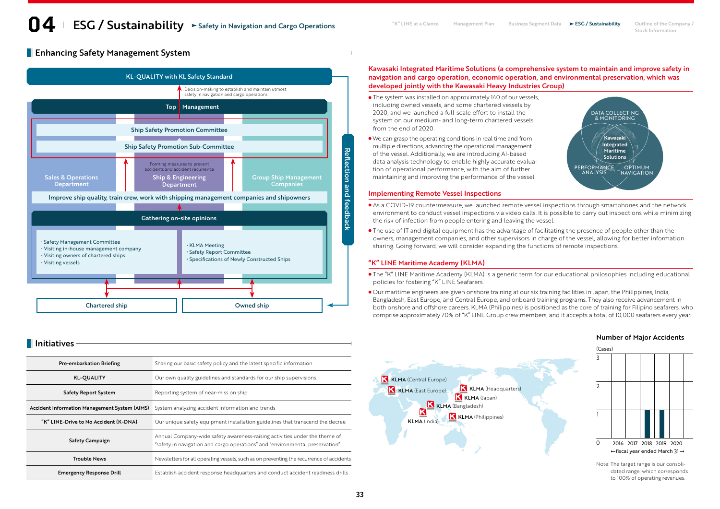**Enhancing Safety Management System -**



|                                       |                                                                                                                                                            |                                                             |          | <b>Number of Major Accidents</b>                                  |
|---------------------------------------|------------------------------------------------------------------------------------------------------------------------------------------------------------|-------------------------------------------------------------|----------|-------------------------------------------------------------------|
| <b>Initiatives</b>                    |                                                                                                                                                            |                                                             | (Cases)  |                                                                   |
| Pre-embarkation Briefing              | Sharing our basic safety policy and the latest specific information                                                                                        |                                                             |          |                                                                   |
| <b>KL-QUALITY</b>                     | Our own quality guidelines and standards for our ship supervisions                                                                                         | K KLMA (Central Europe)                                     |          |                                                                   |
| <b>Safety Report System</b>           | Reporting system of near-miss on ship                                                                                                                      | K KLMA (Headquarters)<br>KLMA (East Europe)<br>KLMA (Japan) |          |                                                                   |
|                                       | Accident Information Management System (AIMS) System analyzing accident information and trends                                                             | KLMA (Bangladesh)                                           |          |                                                                   |
| "K" LINE-Drive to No Accident (K-DNA) | Our unique safety equipment installation guidelines that transcend the decree                                                                              | <b>K KLMA</b> (Philippines)<br><b>KLMA</b> (India)          |          |                                                                   |
| <b>Safety Campaign</b>                | Annual Company-wide safety awareness-raising activities under the theme of<br>"safety in navigation and cargo operations" and "environmental preservation" |                                                             | $\Omega$ | 2016 2017 2018 2019 2020<br>$-$ fiscal year ended March 31 $-$    |
| <b>Trouble News</b>                   | Newsletters for all operating vessels, such as on preventing the recurrence of accidents                                                                   |                                                             |          | Note: The target range is our consoli                             |
| <b>Emergency Response Drill</b>       | Establish accident response headquarters and conduct accident readiness drills                                                                             |                                                             |          | dated range, which correspond<br>$+0.100\%$ of operating revenues |

Kawasaki Integrated Maritime Solutions (a comprehensive system to maintain and improve safety in navigation and cargo operation, economic operation, and environmental preservation, which was developed jointly with the Kawasaki Heavy Industries Group)

- The system was installed on approximately 140 of our vessels, including owned vessels, and some chartered vessels by 2020, and we launched a full-scale effort to install the system on our medium- and long-term chartered vessels from the end of 2020.
- We can grasp the operating conditions in real time and from multiple directions, advancing the operational management of the vessel. Additionally, we are introducing AI-based data analysis technology to enable highly accurate evaluation of operational performance, with the aim of further maintaining and improving the performance of the vessel.



## Implementing Remote Vessel Inspections

- As a COVID-19 countermeasure, we launched remote vessel inspections through smartphones and the network environment to conduct vessel inspections via video calls. It is possible to carry out inspections while minimizing the risk of infection from people entering and leaving the vessel.
- The use of IT and digital equipment has the advantage of facilitating the presence of people other than the owners, management companies, and other supervisors in charge of the vessel, allowing for better information sharing. Going forward, we will consider expanding the functions of remote inspections.

## "K" LINE Maritime Academy (KLMA)

- The "K" LINE Maritime Academy (KLMA) is a generic term for our educational philosophies including educational policies for fostering "K" LINE Seafarers.
- Our maritime engineers are given onshore training at our six training facilities in Japan, the Philippines, India, Bangladesh, East Europe, and Central Europe, and onboard training programs. They also receive advancement in both onshore and offshore careers. KLMA (Philippines) is positioned as the core of training for Filipino seafarers, who comprise approximately 70% of "K" LINE Group crew members, and it accepts a total of 10,000 seafarers every year.





Note: The target range is our consolidated range, which corresponds to 100% of operating revenues.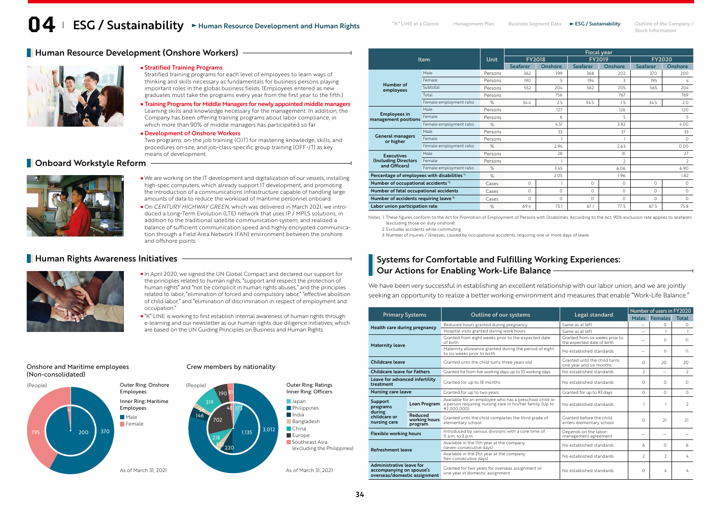Stock Information

# **Human Resource Development (Onshore Workers)** -



### Stratified Training Programs

Stratified training programs for each level of employees to learn ways of thinking and skills necessary as fundamentals for business persons playing important roles in the global business fields. (Employees entered as new graduates must take the programs every year from the first year to the fifth.)

Training Programs for Middle Managers for newly appointed middle managers Learning skills and knowledge necessary for the management. In addition, the Company has been offering training programs about labor compliance, in which more than 90% of middle managers has participated so far.

### Development of Onshore Workers

Two programs: on-the job training (OJT) for mastering knowledge, skills, and procedures on-site, and job-class-specific group training (OFF-JT) as key means of development.

## **Delay Act Onboard Workstyle Reform**



- We are working on the IT development and digitalization of our vessels, installing high-spec computers, which already support IT development, and promoting the introduction of a communications infrastructure capable of handling large amounts of data to reduce the workload of maritime personnel onboard.
- On *CENTURY HIGHWAY GREEN*, which was delivered in March 2021, we introduced a Long-Term Evolution (LTE) network that uses IP / MPLS solutions, in addition to the traditional satellite communication system, and realized a balance of sufficient communication speed and highly encrypted communication through a Field Area Network (FAN) environment between the onshore and offshore points

## **Human Rights Awareness Initiatives**



- In April 2020, we signed the UN Global Compact and declared our support for the principles related to human rights, "support and respect the protection of human rights" and "not be complicit in human rights abuses," and the principles related to labor, "elimination of forced and compulsory labor," "effective abolition of child labor," and "elimination of discrimination in respect of employment and occupation."
- "K" LINE is working to first establish internal awareness of human rights through e-learning and our newsletter as our human rights due diligence initiatives, which are based on the UN Guiding Principles on Business and Human Rights.

Crew members by nationality

## Onshore and Maritime employees (Non-consolidated)



|                                                |                         |         | <b>Fiscal year</b> |               |                 |                |                 |                |  |  |
|------------------------------------------------|-------------------------|---------|--------------------|---------------|-----------------|----------------|-----------------|----------------|--|--|
|                                                | <b>Item</b>             | Unit    |                    | <b>FY2018</b> |                 | <b>FY2019</b>  | <b>FY2020</b>   |                |  |  |
|                                                |                         |         | <b>Seafarer</b>    | Onshore       | <b>Seafarer</b> | Onshore        | <b>Seafarer</b> | <b>Onshore</b> |  |  |
|                                                | Male                    | Persons | 362                | 199           | 368             | 202            | 370             | 200            |  |  |
|                                                | Female                  | Persons | 190                | 5             | 194             | 3              | 195             | 4              |  |  |
| Number of<br>employees                         | Subtotal                | Persons | 552                | 204           | 562             | 205            | 565             | 204            |  |  |
|                                                | Total                   | Persons |                    | 756           |                 | 767            |                 | 769            |  |  |
|                                                | Female employment ratio | %       | 34.4               | 2.5           | 34.5            | 15             | 34.5            | 2.0            |  |  |
|                                                | Male                    | Persons |                    | 127           |                 | 126            |                 | 120            |  |  |
| <b>Employees in</b><br>management positions    | Female                  | Persons |                    | 6             |                 | 5              | 5               |                |  |  |
|                                                | Female employment ratio | %       | 4.51               |               | 3.82            |                | 400             |                |  |  |
|                                                | Male                    | Persons |                    | 33            |                 | 37             | 33              |                |  |  |
| <b>General managers</b><br>or higher           | Female                  | Persons |                    |               |                 |                |                 | $\Omega$       |  |  |
|                                                | Female employment ratio | %       |                    | 2.94          |                 | 2.63           |                 | 0.00           |  |  |
| <b>Executives</b>                              | Male                    | Persons | 31<br>28           |               |                 |                | 27              |                |  |  |
| <b>(Including Directors)</b>                   | Female                  | Persons |                    |               |                 | $\overline{2}$ | $\overline{2}$  |                |  |  |
| and Officers)                                  | Female employment ratio | %       | 3.45               |               | 6.06            |                | 6.90            |                |  |  |
| Percentage of employees with disabilities "    |                         | %       |                    | 2.05          |                 | 1.96           | 1.82            |                |  |  |
| Number of occupational accidents <sup>12</sup> |                         | Cases   | $\Omega$           |               | $\Omega$        | $\Omega$       | $\circ$         | $\circ$        |  |  |
| Number of fatal occupational accidents         |                         | Cases   | 0                  | $\Omega$      | $\Omega$        | $\Omega$       | $\Omega$        | $\Omega$       |  |  |
| Number of accidents requiring leave'3          |                         | Cases   | $\Omega$           | $\Omega$      | $\Omega$        | $\Omega$       | $\Omega$        | $\Omega$       |  |  |
| Labor union participation rate                 |                         | %       | 694                | 751           | 671             | 775            | 675             | 75.8           |  |  |

Notes: 1. These figures conform to the Act for Promotion of Employment of Persons with Disabilities. According to the Act, 90% exclusion rate applies to seafarers (excluding those on duty onshore).

2. Excludes accidents while commuting.

3. Number of injuries / illnesses, caused by occupational accidents, requiring one or more days of leave.

# Systems for Comfortable and Fulfilling Working Experiences: Our Actions for Enabling Work-Life Balance

We have been very successful in establishing an excellent relationship with our labor union, and we are jointly seeking an opportunity to realize a better working environment and measures that enable "Work-Life Balance."

| <b>Primary Systems</b>                                                               |                                     |                                                                                                                                    |                                                               | Number of users in FY2020 |                          |               |  |  |  |
|--------------------------------------------------------------------------------------|-------------------------------------|------------------------------------------------------------------------------------------------------------------------------------|---------------------------------------------------------------|---------------------------|--------------------------|---------------|--|--|--|
|                                                                                      |                                     | Outline of our systems                                                                                                             | Legal standard                                                |                           | Males Females            | <b>Total</b>  |  |  |  |
| Health care during pregnancy                                                         |                                     | Reduced hours granted during pregnancy                                                                                             | Same as at left                                               |                           | $\Omega$                 | $\Omega$      |  |  |  |
|                                                                                      |                                     | Hospital visits granted during work hours                                                                                          | Same as at left                                               |                           |                          |               |  |  |  |
| <b>Maternity leave</b>                                                               |                                     | Granted from eight weeks prior to the expected date<br>of birth                                                                    | Granted from six weeks prior to<br>the expected date of birth |                           | 11                       | $\mathbf{1}$  |  |  |  |
|                                                                                      |                                     | Maternity allowance granted during the period of eight<br>No established standards<br>to six weeks prior to birth                  |                                                               | $\overline{\phantom{0}}$  | 11                       | $\mathbf{1}$  |  |  |  |
| Childcare leave                                                                      |                                     | Granted until the child turns.<br>Granted until the child turns three years old<br>one year and six months                         |                                                               | $\cap$                    | 20                       | 20            |  |  |  |
| <b>Childcare leave for Fathers</b>                                                   |                                     | Granted for from five working days up to 10 working days                                                                           | No established standards                                      | $\mathcal{P}$             | $\overline{\phantom{0}}$ | $\mathcal{L}$ |  |  |  |
| Leave for advanced infertility<br>treatment                                          |                                     | Granted for up to 18 months                                                                                                        | No established standards                                      |                           | $\cap$                   | $\Omega$      |  |  |  |
| <b>Nursing care leave</b>                                                            |                                     | Granted for up to two years                                                                                                        | Granted for up to 93 days                                     |                           | $\Omega$                 | $\Omega$      |  |  |  |
| Support<br>programs                                                                  | Loan Program                        | Available for an employee who has a preschool child or<br>a person requiring nursing care in his/her family. (Up to<br>¥2.000.000) | No established standards                                      |                           |                          | $\mathcal{D}$ |  |  |  |
| during<br>childcare or<br>nursing care                                               | Reduced<br>working hours<br>program | Granted until the child completes the third grade of<br>elementary school                                                          | Granted before the child<br>enters elementary school          | $\cap$                    | 21                       | 21            |  |  |  |
| <b>Flexible working hours</b>                                                        |                                     | Introduced by various divisions with a core time of<br>Il a.m. to 3 p.m.                                                           | Depends on the labor-<br>management agreement                 |                           |                          |               |  |  |  |
| <b>Refreshment leave</b>                                                             |                                     | Available in the llth year at the company<br>(seven consecutive days)                                                              | No established standards                                      | 6                         | $\Omega$                 | 6             |  |  |  |
|                                                                                      |                                     | Available in the 21st year at the company<br>(ten consecutive days)                                                                | No established standards                                      | $\mathcal{P}$             | $\mathcal{D}$            | 4             |  |  |  |
| Administrative leave for<br>accompanying on spouse's<br>overseas/domestic assignment |                                     | Granted for two years for overseas assignment or<br>one year in domestic assignment                                                | No established standards                                      | $\Omega$                  | 4                        | 4             |  |  |  |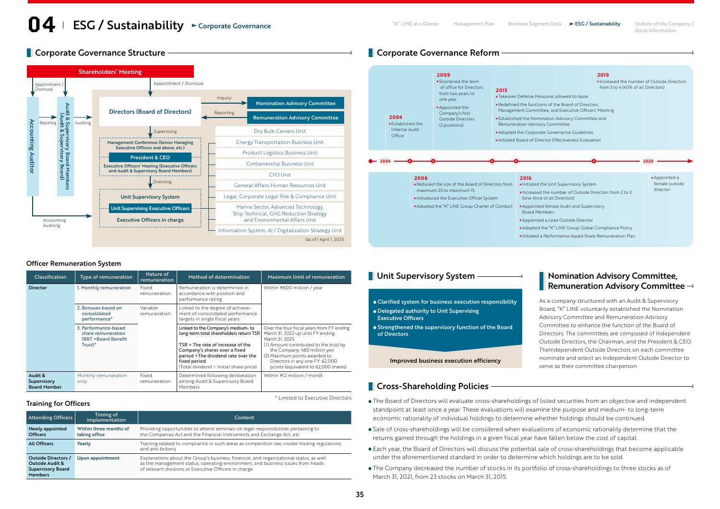# **Corporate Governance Structure Community Corporate Governance Reform**



### 2020 2004 • Established the Internal Audit **Office** 2004 2006 • Reduced the size of the Board of Directors from maximum 25 to maximum 15 • Introduced the Executive Officer System • Adopted the "K" LINE Group Charter of Conduct • Appointed female Audit and Supervisory 2009 • Shortened the term of office for Directors from two years to one year • Appointed the Company's first Outside Directors (2 positions) 2015 • Takeover Defense Measures allowed to lapse • Redefined the functions of the Board of Directors, Management Committee, and Executive Officers' Meeting • Established the Nomination Advisory Committee and Remuneration Advisory Committee • Adopted the Corporate Governance Guidelines • Initiated Board of Director Effectiveness Evaluation 2016 • Initiated the Unit Supervisory System • Increased the number of Outside Directors from 2 to 3 (one-third of all Directors) Board Members • Appointed a Lead Outside Director • Adopted the "K" LINE Group Global Compliance Policy • Initiated a Performance-based Share Remuneration Plan 2019 • Increased the number of Outside Directors from 3 to 4 (40% of all Directors) • Appointed a female outside director

## Officer Remuneration System

| Classification                                | <b>Type of remuneration</b>                                                    | Nature of<br>remuneration | Method of determination                                                                                                                              | <b>Maximum limit of remuneration</b>                                                                                                                                       |  |
|-----------------------------------------------|--------------------------------------------------------------------------------|---------------------------|------------------------------------------------------------------------------------------------------------------------------------------------------|----------------------------------------------------------------------------------------------------------------------------------------------------------------------------|--|
| <b>Director</b>                               | 1. Monthly remuneration                                                        | Fixed<br>remuneration     | Remuneration is determined in<br>accordance with position and<br>performance rating.                                                                 | Within ¥600 million / year                                                                                                                                                 |  |
|                                               | 2. Bonuses based on<br>consolidated<br>performance*                            | Variable<br>remuneration  | Linked to the degree of achieve-<br>ment of consolidated performance<br>targets in single fiscal years                                               |                                                                                                                                                                            |  |
|                                               | 3. Performance-based<br>share remuneration<br>(BBT = Board Benefit)<br>Trust)* |                           | Linked to the Company's medium-to<br>long-term total shareholders return TSR<br>$TSR = The rate of increase of the$<br>Company's shares over a fixed | Over the four fiscal years from FY ending<br>March 31, 2022 up until FY ending<br>March 31, 2025<br>(1) Amount contributed to the trust by<br>the Company: 480 million yen |  |
|                                               |                                                                                |                           | period +The dividend rate over the<br>fixed period<br>(Total dividend ÷ Initial share price)                                                         | (2) Maximum points awarded to<br>Directors in any one FY: 62,000<br>points (equivalent to 62,000 shares)                                                                   |  |
| Audit &<br>Supervisory<br><b>Board Member</b> | Monthly remuneration<br>only                                                   | Fixed<br>remuneration     | Determined following deliberation<br>among Audit & Supervisory Board<br>Members                                                                      | Within ¥12 million / month                                                                                                                                                 |  |

## Training for Officers

| <b>Attending Officers</b>                                                                       | Timing of<br>implementation             | Content                                                                                                                                                                                                                            |
|-------------------------------------------------------------------------------------------------|-----------------------------------------|------------------------------------------------------------------------------------------------------------------------------------------------------------------------------------------------------------------------------------|
| Newly appointed<br><b>Officers</b>                                                              | Within three months of<br>taking office | Providing opportunities to attend seminars on legal responsibilities pertaining to<br>the Companies Act and the Financial Instruments and Exchange Act, etc.                                                                       |
| <b>All Officers</b>                                                                             | Yearly                                  | Training related to compliance in such areas as competition law, insider trading regulations,<br>and anti-bribery                                                                                                                  |
| Outside Directors /<br><b>Outside Audit &amp;</b><br><b>Supervisory Board</b><br><b>Members</b> | Upon appointment                        | Explanations about the Group's business, financial, and organizational status, as well<br>as the management status, operating environment, and business issues from heads<br>of relevant divisions or Executive Officers in charge |

# **Unit Supervisory System Nomination Advisory Committee,**

Clarified system for business execution responsibility Delegated authority to Unit Supervising

Executive Officers

**• Strengthened the supervisory function of the Board** of Directors

Improved business execution efficiency

# **Cross-Shareholding Policies**

The Board of Directors will evaluate cross-shareholdings of listed securities from an objective and independent standpoint at least once a year. These evaluations will examine the purpose and medium- to long-term economic rationality of individual holdings to determine whether holdings should be continued.

Remuneration Advisory Committee  $\neg$ 

As a company structured with an Audit & Supervisory Board, "K" LINE voluntarily established the Nomination Advisory Committee and Remuneration Advisory Committee to enhance the function of the Board of Directors. The committees are composed of Independent Outside Directors, the Chairman, and the President & CEO. TheIndependent Outside Directors on each committee nominate and select an Independent Outside Director to

serve as their committee chairperson.

- Sale of cross-shareholdings will be considered when evaluations of economic rationality determine that the returns gained through the holdings in a given fiscal year have fallen below the cost of capital.
- Each year, the Board of Directors will discuss the potential sale of cross-shareholdings that become applicable under the aforementioned standard in order to determine which holdings are to be sold.
- The Company decreased the number of stocks in its portfolio of cross-shareholdings to three stocks as of March 31, 2021, from 23 stocks on March 31, 2015.

\* Limited to Executive Directors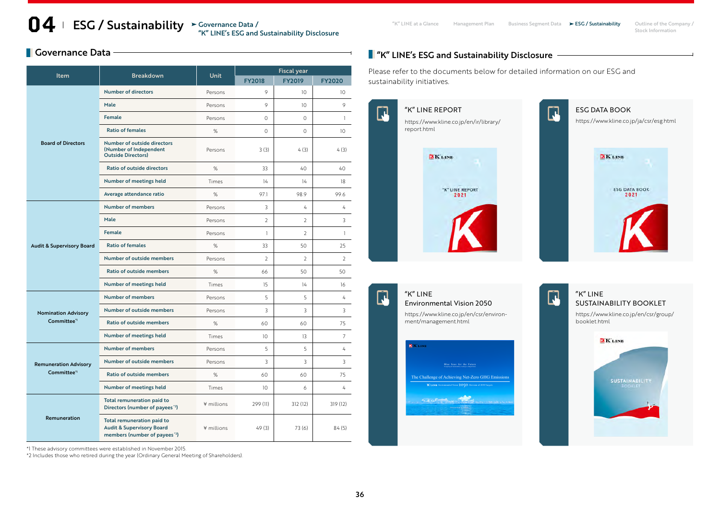## **O4** ESG / Sustainability  $\text{``Givenance Data}\$  This at a Glance Management Plan Business Segment Data  $\text{--}$  ESG / Sustainability Outline of the Company / The Sustainability  $\text{--}$  Stock Information Governance Data / "K" LINE's ESG and Sustainability Disclosure

# **Governance Data**

| <b>Item</b>                                             | <b>Breakdown</b>                                                                                                | <b>Unit</b> | <b>Fiscal year</b> |                 |                 |
|---------------------------------------------------------|-----------------------------------------------------------------------------------------------------------------|-------------|--------------------|-----------------|-----------------|
|                                                         |                                                                                                                 |             | <b>FY2018</b>      | <b>FY2019</b>   | <b>FY2020</b>   |
|                                                         | <b>Number of directors</b>                                                                                      | Persons     | 9                  | 10 <sup>°</sup> | 10              |
|                                                         | Male                                                                                                            | Persons     | 9                  | 10 <sup>2</sup> | 9               |
|                                                         | <b>Female</b>                                                                                                   | Persons     | $\Omega$           | $\Omega$        | $\mathbf{1}$    |
|                                                         | <b>Ratio of females</b>                                                                                         | %           | $\Omega$           | $\Omega$        | 10 <sup>°</sup> |
| <b>Board of Directors</b>                               | Number of outside directors<br>(Number of Independent<br><b>Outside Directors)</b>                              | Persons     | 3 (3)              | 4(3)            | 4(3)            |
|                                                         | <b>Ratio of outside directors</b>                                                                               | %           | 33                 | 40              | 40              |
|                                                         | Number of meetings held                                                                                         | Times       | 14                 | 14              | 18              |
|                                                         | Average attendance ratio                                                                                        | %           | 97.1               | 98.9            | 99.6            |
|                                                         | <b>Number of members</b>                                                                                        | Persons     | 3                  | $\overline{4}$  | 4               |
|                                                         | Male                                                                                                            | Persons     | $\overline{2}$     | $\overline{2}$  | 3               |
|                                                         | <b>Female</b>                                                                                                   | Persons     | $\mathbf{1}$       | $\mathcal{L}$   | $\mathbf{1}$    |
| <b>Audit &amp; Supervisory Board</b>                    | <b>Ratio of females</b>                                                                                         | %           | 33                 | 50              | 25              |
|                                                         | <b>Number of outside members</b>                                                                                | Persons     | $\overline{2}$     | $\overline{2}$  | $\overline{2}$  |
|                                                         | <b>Ratio of outside members</b>                                                                                 | %           | 66                 | 50              | 50              |
|                                                         | Number of meetings held                                                                                         | Times       | 15                 | 14              | 16              |
| <b>Nomination Advisory</b><br>Committee <sup>*1</sup>   | <b>Number of members</b>                                                                                        | Persons     | 5                  | 5               | 4               |
|                                                         | <b>Number of outside members</b>                                                                                | Persons     | 3                  | 3               | 3               |
|                                                         | <b>Ratio of outside members</b>                                                                                 | %           | 60                 | 60              | 75              |
|                                                         | Number of meetings held                                                                                         | Times       | 10 <sup>2</sup>    | 13              | $\overline{7}$  |
| <b>Remuneration Advisory</b><br>Committee <sup>*1</sup> | <b>Number of members</b>                                                                                        | Persons     | 5                  | 5               | 4               |
|                                                         | <b>Number of outside members</b>                                                                                | Persons     | 3                  | 3               | 3               |
|                                                         | Ratio of outside members                                                                                        | %           | 60                 | 60              | 75              |
|                                                         | Number of meetings held                                                                                         | Times       | 10 <sup>2</sup>    | 6               | 4               |
| Remuneration                                            | Total remuneration paid to<br>Directors (number of payees <sup>12</sup> )                                       | ¥ millions  | 299 (11)           | 312(12)         | 319 (12)        |
|                                                         | Total remuneration paid to<br><b>Audit &amp; Supervisory Board</b><br>members (number of payees <sup>12</sup> ) | ¥ millions  | 49(3)              | 73 (6)          | 84(5)           |

\*1 These advisory committees were established in November 2015.

\*2 Includes those who retired during the year (Ordinary General Meeting of Shareholders).

# **T** "K" LINE's ESG and Sustainability Disclosure -

Please refer to the documents below for detailed information on our ESG and sustainability initiatives.



 $\Box$ 

### "K" LINE  $\mathbf \Xi$ [Environmental Vision 2050](https://www.kline.co.jp/en/csr/environment/management.html)

 $\Gamma$ 

https://www.kline.co.jp/en/csr/environment/management.html